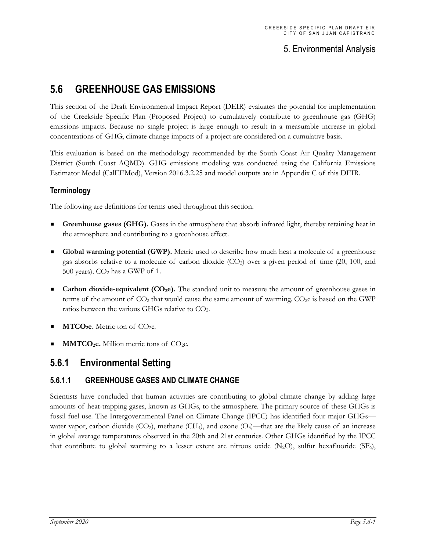# 5. Environmental Analysis

# **5.6 GREENHOUSE GAS EMISSIONS**

This section of the Draft Environmental Impact Report (DEIR) evaluates the potential for implementation of the Creekside Specific Plan (Proposed Project) to cumulatively contribute to greenhouse gas (GHG) emissions impacts. Because no single project is large enough to result in a measurable increase in global concentrations of GHG, climate change impacts of a project are considered on a cumulative basis.

This evaluation is based on the methodology recommended by the South Coast Air Quality Management District (South Coast AQMD). GHG emissions modeling was conducted using the California Emissions Estimator Model (CalEEMod), Version 2016.3.2.25 and model outputs are in Appendix C of this DEIR.

#### **Terminology**

The following are definitions for terms used throughout this section.

- **Greenhouse gases (GHG).** Gases in the atmosphere that absorb infrared light, thereby retaining heat in the atmosphere and contributing to a greenhouse effect.
- Global warming potential (GWP). Metric used to describe how much heat a molecule of a greenhouse gas absorbs relative to a molecule of carbon dioxide  $(CO<sub>2</sub>)$  over a given period of time (20, 100, and 500 years).  $CO<sub>2</sub>$  has a GWP of 1.
- **Carbon dioxide-equivalent (CO<sub>2</sub>e).** The standard unit to measure the amount of greenhouse gases in terms of the amount of  $CO<sub>2</sub>$  that would cause the same amount of warming.  $CO<sub>2</sub>e$  is based on the GWP ratios between the various GHGs relative to CO2.
- $MTCO<sub>2</sub>e$ . Metric ton of  $CO<sub>2</sub>e$ .
- **MMTCO<sub>2</sub>e.** Million metric tons of CO<sub>2</sub>e.

## **5.6.1 Environmental Setting**

## **5.6.1.1 GREENHOUSE GASES AND CLIMATE CHANGE**

Scientists have concluded that human activities are contributing to global climate change by adding large amounts of heat-trapping gases, known as GHGs, to the atmosphere. The primary source of these GHGs is fossil fuel use. The Intergovernmental Panel on Climate Change (IPCC) has identified four major GHGs water vapor, carbon dioxide  $(CO_2)$ , methane  $(CH_4)$ , and ozone  $(O_3)$ —that are the likely cause of an increase in global average temperatures observed in the 20th and 21st centuries. Other GHGs identified by the IPCC that contribute to global warming to a lesser extent are nitrous oxide  $(N_2O)$ , sulfur hexafluoride (SF<sub>6</sub>),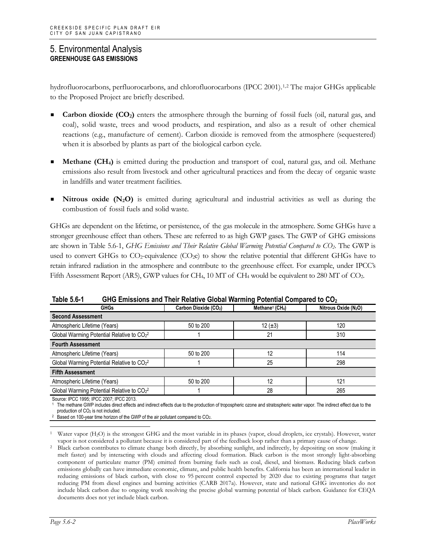hydrofluorocarbons, perfluorocarbons, and chlorofluorocarbons (IPCC 2001).<sup>[1,](#page-1-0)[2](#page-1-1)</sup> The major GHGs applicable to the Proposed Project are briefly described.

- **Carbon dioxide (CO<sub>2</sub>)** enters the atmosphere through the burning of fossil fuels (oil, natural gas, and coal), solid waste, trees and wood products, and respiration, and also as a result of other chemical reactions (e.g., manufacture of cement). Carbon dioxide is removed from the atmosphere (sequestered) when it is absorbed by plants as part of the biological carbon cycle.
- **Methane (CH4)** is emitted during the production and transport of coal, natural gas, and oil. Methane emissions also result from livestock and other agricultural practices and from the decay of organic waste in landfills and water treatment facilities.
- **Nitrous oxide (N<sub>2</sub>O)** is emitted during agricultural and industrial activities as well as during the combustion of fossil fuels and solid waste.

GHGs are dependent on the lifetime, or persistence, of the gas molecule in the atmosphere. Some GHGs have a stronger greenhouse effect than others. These are referred to as high GWP gases. The GWP of GHG emissions are shown in Table 5.6-1, *GHG Emissions and Their Relative Global Warming Potential Compared to CO2*. The GWP is used to convert GHGs to  $CO_2$ -equivalence  $(CO_2e)$  to show the relative potential that different GHGs have to retain infrared radiation in the atmosphere and contribute to the greenhouse effect. For example, under IPCC's Fifth Assessment Report (AR5), GWP values for CH<sub>4</sub>, 10 MT of CH<sub>4</sub> would be equivalent to 280 MT of CO<sub>2</sub>.

| ו -ט.ט סוע<br><u>UTO LIMBSIONS AND THEIR NEIGHVE ORDAN WANHING</u> FULCHING COMPARED TO CO2 |                                   |                                         |                                  |  |  |
|---------------------------------------------------------------------------------------------|-----------------------------------|-----------------------------------------|----------------------------------|--|--|
| <b>GHGs</b>                                                                                 | Carbon Dioxide (CO <sub>2</sub> ) | Methane <sup>1</sup> (CH <sub>4</sub> ) | Nitrous Oxide (N <sub>2</sub> O) |  |  |
| <b>Second Assessment</b>                                                                    |                                   |                                         |                                  |  |  |
| Atmospheric Lifetime (Years)                                                                | 50 to 200                         | 12 $(\pm 3)$                            | 120                              |  |  |
| Global Warming Potential Relative to CO <sub>22</sub>                                       |                                   | 21                                      | 310                              |  |  |
| <b>Fourth Assessment</b>                                                                    |                                   |                                         |                                  |  |  |
| Atmospheric Lifetime (Years)                                                                | 50 to 200                         | 12                                      | 114                              |  |  |
| Global Warming Potential Relative to CO <sub>22</sub>                                       |                                   | 25                                      | 298                              |  |  |
| <b>Fifth Assessment</b>                                                                     |                                   |                                         |                                  |  |  |
| Atmospheric Lifetime (Years)                                                                | 50 to 200                         | 12                                      | 121                              |  |  |
| Global Warming Potential Relative to CO <sub>2</sub> <sup>2</sup>                           |                                   | 28                                      | 265                              |  |  |

**Table 5.6-1 GHG Emissions and Their Relative Global Warming Potential Compared to CO2**

Source: IPCC 1995; IPCC 2007; IPCC 2013.

<sup>1</sup> The methane GWP includes direct effects and indirect effects due to the production of tropospheric ozone and stratospheric water vapor. The indirect effect due to the production of CO<sub>2</sub> is not included.

<sup>2</sup> Based on 100-year time horizon of the GWP of the air pollutant compared to CO<sub>2</sub>.

<span id="page-1-0"></span>Water vapor (H<sub>2</sub>O) is the strongest GHG and the most variable in its phases (vapor, cloud droplets, ice crystals). However, water vapor is not considered a pollutant because it is considered part of the feedback loop rather than a primary cause of change.

<span id="page-1-1"></span><sup>&</sup>lt;sup>2</sup> Black carbon contributes to climate change both directly, by absorbing sunlight, and indirectly, by depositing on snow (making it melt faster) and by interacting with clouds and affecting cloud formation. Black carbon is the most strongly light-absorbing component of particulate matter (PM) emitted from burning fuels such as coal, diesel, and biomass. Reducing black carbon emissions globally can have immediate economic, climate, and public health benefits. California has been an international leader in reducing emissions of black carbon, with close to 95 percent control expected by 2020 due to existing programs that target reducing PM from diesel engines and burning activities (CARB 2017a). However, state and national GHG inventories do not include black carbon due to ongoing work resolving the precise global warming potential of black carbon. Guidance for CEQA documents does not yet include black carbon.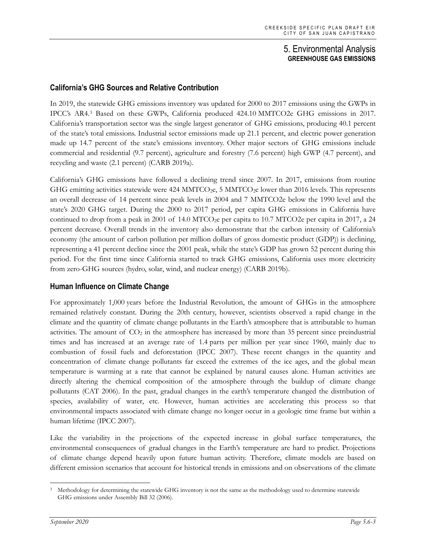#### **California's GHG Sources and Relative Contribution**

In 2019, the statewide GHG emissions inventory was updated for 2000 to 2017 emissions using the GWPs in IPCC's AR4.[3](#page-2-0) Based on these GWPs, California produced 424.10 MMTCO2e GHG emissions in 2017. California's transportation sector was the single largest generator of GHG emissions, producing 40.1 percent of the state's total emissions. Industrial sector emissions made up 21.1 percent, and electric power generation made up 14.7 percent of the state's emissions inventory. Other major sectors of GHG emissions include commercial and residential (9.7 percent), agriculture and forestry (7.6 percent) high GWP (4.7 percent), and recycling and waste (2.1 percent) (CARB 2019a).

California's GHG emissions have followed a declining trend since 2007. In 2017, emissions from routine GHG emitting activities statewide were 424 MMTCO<sub>2</sub>e, 5 MMTCO<sub>2</sub>e lower than 2016 levels. This represents an overall decrease of 14 percent since peak levels in 2004 and 7 MMTCO2e below the 1990 level and the state's 2020 GHG target. During the 2000 to 2017 period, per capita GHG emissions in California have continued to drop from a peak in 2001 of 14.0 MTCO<sub>2</sub>e per capita to 10.7 MTCO2e per capita in 2017, a 24 percent decrease. Overall trends in the inventory also demonstrate that the carbon intensity of California's economy (the amount of carbon pollution per million dollars of gross domestic product (GDP)) is declining, representing a 41 percent decline since the 2001 peak, while the state's GDP has grown 52 percent during this period. For the first time since California started to track GHG emissions, California uses more electricity from zero-GHG sources (hydro, solar, wind, and nuclear energy) (CARB 2019b).

#### **Human Influence on Climate Change**

For approximately 1,000 years before the Industrial Revolution, the amount of GHGs in the atmosphere remained relatively constant. During the 20th century, however, scientists observed a rapid change in the climate and the quantity of climate change pollutants in the Earth's atmosphere that is attributable to human activities. The amount of  $CO<sub>2</sub>$  in the atmosphere has increased by more than 35 percent since preindustrial times and has increased at an average rate of 1.4 parts per million per year since 1960, mainly due to combustion of fossil fuels and deforestation (IPCC 2007). These recent changes in the quantity and concentration of climate change pollutants far exceed the extremes of the ice ages, and the global mean temperature is warming at a rate that cannot be explained by natural causes alone. Human activities are directly altering the chemical composition of the atmosphere through the buildup of climate change pollutants (CAT 2006). In the past, gradual changes in the earth's temperature changed the distribution of species, availability of water, etc. However, human activities are accelerating this process so that environmental impacts associated with climate change no longer occur in a geologic time frame but within a human lifetime (IPCC 2007).

Like the variability in the projections of the expected increase in global surface temperatures, the environmental consequences of gradual changes in the Earth's temperature are hard to predict. Projections of climate change depend heavily upon future human activity. Therefore, climate models are based on different emission scenarios that account for historical trends in emissions and on observations of the climate

<span id="page-2-0"></span><sup>&</sup>lt;sup>3</sup> Methodology for determining the statewide GHG inventory is not the same as the methodology used to determine statewide GHG emissions under Assembly Bill 32 (2006).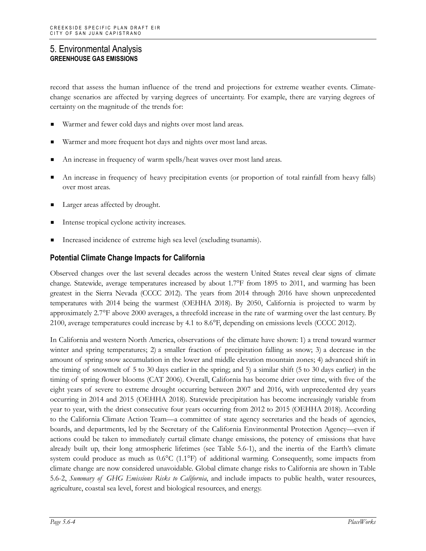record that assess the human influence of the trend and projections for extreme weather events. Climatechange scenarios are affected by varying degrees of uncertainty. For example, there are varying degrees of certainty on the magnitude of the trends for:

- Warmer and fewer cold days and nights over most land areas.
- Warmer and more frequent hot days and nights over most land areas.
- An increase in frequency of warm spells/heat waves over most land areas.
- An increase in frequency of heavy precipitation events (or proportion of total rainfall from heavy falls) over most areas.
- Larger areas affected by drought.
- Intense tropical cyclone activity increases.
- Increased incidence of extreme high sea level (excluding tsunamis).

#### **Potential Climate Change Impacts for California**

Observed changes over the last several decades across the western United States reveal clear signs of climate change. Statewide, average temperatures increased by about 1.7°F from 1895 to 2011, and warming has been greatest in the Sierra Nevada (CCCC 2012). The years from 2014 through 2016 have shown unprecedented temperatures with 2014 being the warmest (OEHHA 2018). By 2050, California is projected to warm by approximately 2.7°F above 2000 averages, a threefold increase in the rate of warming over the last century. By 2100, average temperatures could increase by 4.1 to 8.6°F, depending on emissions levels (CCCC 2012).

In California and western North America, observations of the climate have shown: 1) a trend toward warmer winter and spring temperatures; 2) a smaller fraction of precipitation falling as snow; 3) a decrease in the amount of spring snow accumulation in the lower and middle elevation mountain zones; 4) advanced shift in the timing of snowmelt of 5 to 30 days earlier in the spring; and 5) a similar shift (5 to 30 days earlier) in the timing of spring flower blooms (CAT 2006). Overall, California has become drier over time, with five of the eight years of severe to extreme drought occurring between 2007 and 2016, with unprecedented dry years occurring in 2014 and 2015 (OEHHA 2018). Statewide precipitation has become increasingly variable from year to year, with the driest consecutive four years occurring from 2012 to 2015 (OEHHA 2018). According to the California Climate Action Team—a committee of state agency secretaries and the heads of agencies, boards, and departments, led by the Secretary of the California Environmental Protection Agency—even if actions could be taken to immediately curtail climate change emissions, the potency of emissions that have already built up, their long atmospheric lifetimes (see Table 5.6-1), and the inertia of the Earth's climate system could produce as much as  $0.6^{\circ}C$  (1.1°F) of additional warming. Consequently, some impacts from climate change are now considered unavoidable. Global climate change risks to California are shown in Table 5.6-2, *Summary of GHG Emissions Risks to California*, and include impacts to public health, water resources, agriculture, coastal sea level, forest and biological resources, and energy.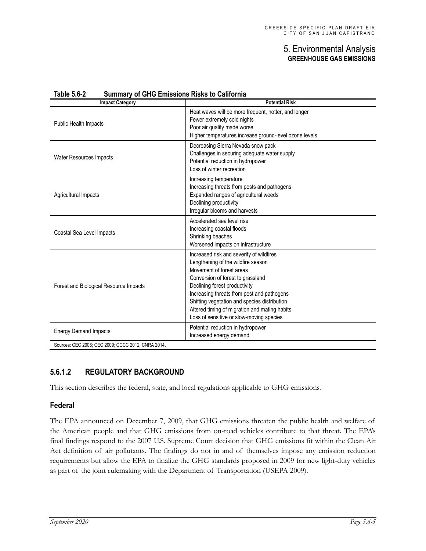| <b>Impact Category</b>                 | <b>Potential Risk</b>                                                                                                                                                                                                                                                                                                                                                       |
|----------------------------------------|-----------------------------------------------------------------------------------------------------------------------------------------------------------------------------------------------------------------------------------------------------------------------------------------------------------------------------------------------------------------------------|
| Public Health Impacts                  | Heat waves will be more frequent, hotter, and longer<br>Fewer extremely cold nights<br>Poor air quality made worse<br>Higher temperatures increase ground-level ozone levels                                                                                                                                                                                                |
| <b>Water Resources Impacts</b>         | Decreasing Sierra Nevada snow pack<br>Challenges in securing adequate water supply<br>Potential reduction in hydropower<br>Loss of winter recreation                                                                                                                                                                                                                        |
| Agricultural Impacts                   | Increasing temperature<br>Increasing threats from pests and pathogens<br>Expanded ranges of agricultural weeds<br>Declining productivity<br>Irregular blooms and harvests                                                                                                                                                                                                   |
| Coastal Sea Level Impacts              | Accelerated sea level rise<br>Increasing coastal floods<br>Shrinking beaches<br>Worsened impacts on infrastructure                                                                                                                                                                                                                                                          |
| Forest and Biological Resource Impacts | Increased risk and severity of wildfires<br>Lengthening of the wildfire season<br>Movement of forest areas<br>Conversion of forest to grassland<br>Declining forest productivity<br>Increasing threats from pest and pathogens<br>Shifting vegetation and species distribution<br>Altered timing of migration and mating habits<br>Loss of sensitive or slow-moving species |
| <b>Energy Demand Impacts</b>           | Potential reduction in hydropower<br>Increased energy demand                                                                                                                                                                                                                                                                                                                |

#### **Table 5.6-2 Summary of GHG Emissions Risks to California**

#### **5.6.1.2 REGULATORY BACKGROUND**

This section describes the federal, state, and local regulations applicable to GHG emissions.

#### **Federal**

The EPA announced on December 7, 2009, that GHG emissions threaten the public health and welfare of the American people and that GHG emissions from on-road vehicles contribute to that threat. The EPA's final findings respond to the 2007 U.S. Supreme Court decision that GHG emissions fit within the Clean Air Act definition of air pollutants. The findings do not in and of themselves impose any emission reduction requirements but allow the EPA to finalize the GHG standards proposed in 2009 for new light-duty vehicles as part of the joint rulemaking with the Department of Transportation (USEPA 2009).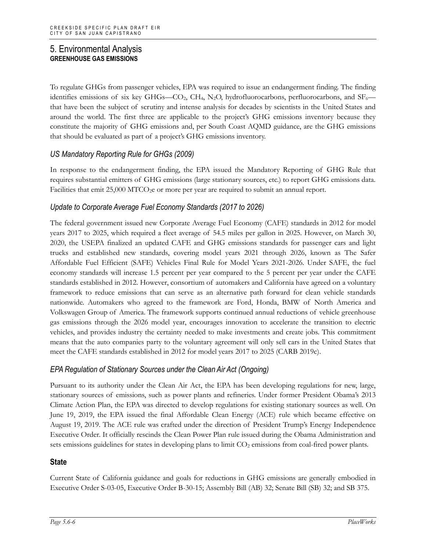To regulate GHGs from passenger vehicles, EPA was required to issue an endangerment finding. The finding identifies emissions of six key GHGs—CO<sub>2</sub>, CH<sub>4</sub>, N<sub>2</sub>O, hydrofluorocarbons, perfluorocarbons, and SF<sub>6</sub> that have been the subject of scrutiny and intense analysis for decades by scientists in the United States and around the world. The first three are applicable to the project's GHG emissions inventory because they constitute the majority of GHG emissions and, per South Coast AQMD guidance, are the GHG emissions that should be evaluated as part of a project's GHG emissions inventory.

#### *US Mandatory Reporting Rule for GHGs (2009)*

In response to the endangerment finding, the EPA issued the Mandatory Reporting of GHG Rule that requires substantial emitters of GHG emissions (large stationary sources, etc.) to report GHG emissions data. Facilities that emit 25,000 MTCO<sub>2</sub>e or more per year are required to submit an annual report.

#### *Update to Corporate Average Fuel Economy Standards (2017 to 2026)*

The federal government issued new Corporate Average Fuel Economy (CAFE) standards in 2012 for model years 2017 to 2025, which required a fleet average of 54.5 miles per gallon in 2025. However, on March 30, 2020, the USEPA finalized an updated CAFE and GHG emissions standards for passenger cars and light trucks and established new standards, covering model years 2021 through 2026, known as The Safer Affordable Fuel Efficient (SAFE) Vehicles Final Rule for Model Years 2021-2026. Under SAFE, the fuel economy standards will increase 1.5 percent per year compared to the 5 percent per year under the CAFE standards established in 2012. However, consortium of automakers and California have agreed on a voluntary framework to reduce emissions that can serve as an alternative path forward for clean vehicle standards nationwide. Automakers who agreed to the framework are Ford, Honda, BMW of North America and Volkswagen Group of America. The framework supports continued annual reductions of vehicle greenhouse gas emissions through the 2026 model year, encourages innovation to accelerate the transition to electric vehicles, and provides industry the certainty needed to make investments and create jobs. This commitment means that the auto companies party to the voluntary agreement will only sell cars in the United States that meet the CAFE standards established in 2012 for model years 2017 to 2025 (CARB 2019c).

#### *EPA Regulation of Stationary Sources under the Clean Air Act (Ongoing)*

Pursuant to its authority under the Clean Air Act, the EPA has been developing regulations for new, large, stationary sources of emissions, such as power plants and refineries. Under former President Obama's 2013 Climate Action Plan, the EPA was directed to develop regulations for existing stationary sources as well. On June 19, 2019, the EPA issued the final Affordable Clean Energy (ACE) rule which became effective on August 19, 2019. The ACE rule was crafted under the direction of President Trump's Energy Independence Executive Order. It officially rescinds the Clean Power Plan rule issued during the Obama Administration and sets emissions guidelines for states in developing plans to limit CO<sub>2</sub> emissions from coal-fired power plants.

#### **State**

Current State of California guidance and goals for reductions in GHG emissions are generally embodied in Executive Order S-03-05, Executive Order B-30-15; Assembly Bill (AB) 32; Senate Bill (SB) 32; and SB 375.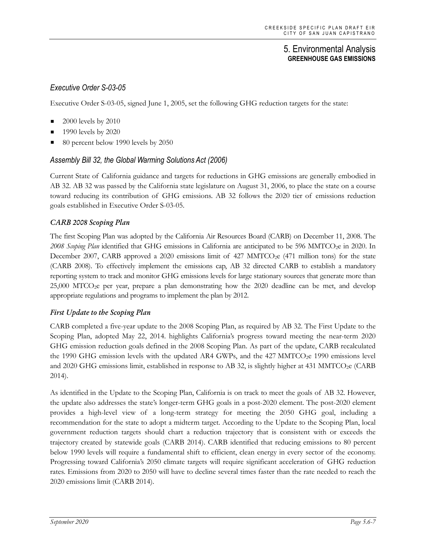## *Executive Order S-03-05*

Executive Order S-03-05, signed June 1, 2005, set the following GHG reduction targets for the state:

- 2000 levels by 2010
- 1990 levels by 2020
- 80 percent below 1990 levels by 2050

#### *Assembly Bill 32, the Global Warming Solutions Act (2006)*

Current State of California guidance and targets for reductions in GHG emissions are generally embodied in AB 32. AB 32 was passed by the California state legislature on August 31, 2006, to place the state on a course toward reducing its contribution of GHG emissions. AB 32 follows the 2020 tier of emissions reduction goals established in Executive Order S-03-05.

#### *CARB 2008 Scoping Plan*

The first Scoping Plan was adopted by the California Air Resources Board (CARB) on December 11, 2008. The 2008 Scoping Plan identified that GHG emissions in California are anticipated to be 596 MMTCO<sub>2</sub>e in 2020. In December 2007, CARB approved a 2020 emissions limit of 427 MMTCO<sub>2</sub>e (471 million tons) for the state (CARB 2008). To effectively implement the emissions cap, AB 32 directed CARB to establish a mandatory reporting system to track and monitor GHG emissions levels for large stationary sources that generate more than 25,000 MTCO2e per year, prepare a plan demonstrating how the 2020 deadline can be met, and develop appropriate regulations and programs to implement the plan by 2012.

#### *First Update to the Scoping Plan*

CARB completed a five-year update to the 2008 Scoping Plan, as required by AB 32. The First Update to the Scoping Plan, adopted May 22, 2014. highlights California's progress toward meeting the near-term 2020 GHG emission reduction goals defined in the 2008 Scoping Plan. As part of the update, CARB recalculated the 1990 GHG emission levels with the updated AR4 GWPs, and the 427 MMTCO<sub>2</sub>e 1990 emissions level and 2020 GHG emissions limit, established in response to AB 32, is slightly higher at 431 MMTCO<sub>2</sub>e (CARB) 2014).

As identified in the Update to the Scoping Plan, California is on track to meet the goals of AB 32. However, the update also addresses the state's longer-term GHG goals in a post-2020 element. The post-2020 element provides a high-level view of a long-term strategy for meeting the 2050 GHG goal, including a recommendation for the state to adopt a midterm target. According to the Update to the Scoping Plan, local government reduction targets should chart a reduction trajectory that is consistent with or exceeds the trajectory created by statewide goals (CARB 2014). CARB identified that reducing emissions to 80 percent below 1990 levels will require a fundamental shift to efficient, clean energy in every sector of the economy. Progressing toward California's 2050 climate targets will require significant acceleration of GHG reduction rates. Emissions from 2020 to 2050 will have to decline several times faster than the rate needed to reach the 2020 emissions limit (CARB 2014).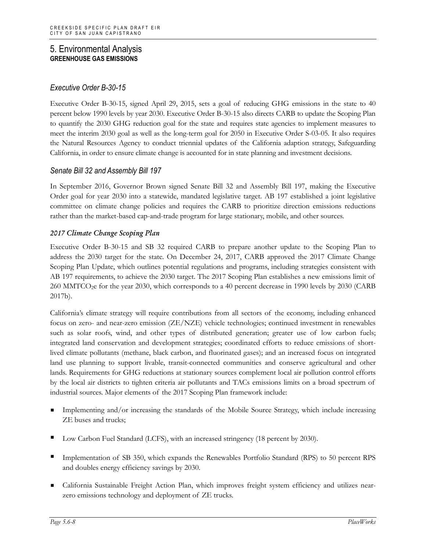### *Executive Order B-30-15*

Executive Order B-30-15, signed April 29, 2015, sets a goal of reducing GHG emissions in the state to 40 percent below 1990 levels by year 2030. Executive Order B-30-15 also directs CARB to update the Scoping Plan to quantify the 2030 GHG reduction goal for the state and requires state agencies to implement measures to meet the interim 2030 goal as well as the long-term goal for 2050 in Executive Order S-03-05. It also requires the Natural Resources Agency to conduct triennial updates of the California adaption strategy, Safeguarding California, in order to ensure climate change is accounted for in state planning and investment decisions.

#### *Senate Bill 32 and Assembly Bill 197*

In September 2016, Governor Brown signed Senate Bill 32 and Assembly Bill 197, making the Executive Order goal for year 2030 into a statewide, mandated legislative target. AB 197 established a joint legislative committee on climate change policies and requires the CARB to prioritize direction emissions reductions rather than the market-based cap-and-trade program for large stationary, mobile, and other sources.

#### *2017 Climate Change Scoping Plan*

Executive Order B-30-15 and SB 32 required CARB to prepare another update to the Scoping Plan to address the 2030 target for the state. On December 24, 2017, CARB approved the 2017 Climate Change Scoping Plan Update, which outlines potential regulations and programs, including strategies consistent with AB 197 requirements, to achieve the 2030 target. The 2017 Scoping Plan establishes a new emissions limit of 260 MMTCO2e for the year 2030, which corresponds to a 40 percent decrease in 1990 levels by 2030 (CARB 2017b).

California's climate strategy will require contributions from all sectors of the economy, including enhanced focus on zero- and near-zero emission (ZE/NZE) vehicle technologies; continued investment in renewables such as solar roofs, wind, and other types of distributed generation; greater use of low carbon fuels; integrated land conservation and development strategies; coordinated efforts to reduce emissions of shortlived climate pollutants (methane, black carbon, and fluorinated gases); and an increased focus on integrated land use planning to support livable, transit-connected communities and conserve agricultural and other lands. Requirements for GHG reductions at stationary sources complement local air pollution control efforts by the local air districts to tighten criteria air pollutants and TACs emissions limits on a broad spectrum of industrial sources. Major elements of the 2017 Scoping Plan framework include:

- Implementing and/or increasing the standards of the Mobile Source Strategy, which include increasing ZE buses and trucks;
- Low Carbon Fuel Standard (LCFS), with an increased stringency (18 percent by 2030).
- Implementation of SB 350, which expands the Renewables Portfolio Standard (RPS) to 50 percent RPS and doubles energy efficiency savings by 2030.
- California Sustainable Freight Action Plan, which improves freight system efficiency and utilizes nearzero emissions technology and deployment of ZE trucks.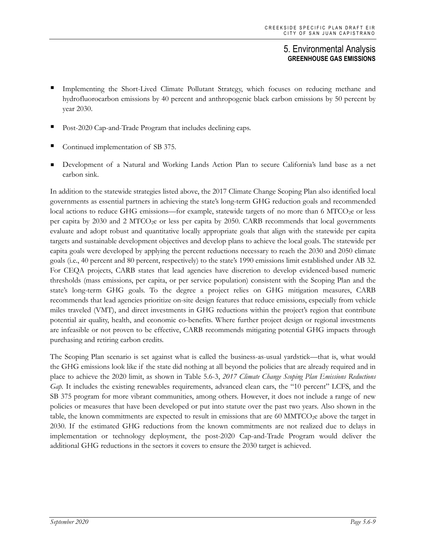- Implementing the Short-Lived Climate Pollutant Strategy, which focuses on reducing methane and hydrofluorocarbon emissions by 40 percent and anthropogenic black carbon emissions by 50 percent by year 2030.
- Post-2020 Cap-and-Trade Program that includes declining caps.
- Continued implementation of SB 375.
- Development of a Natural and Working Lands Action Plan to secure California's land base as a net carbon sink.

In addition to the statewide strategies listed above, the 2017 Climate Change Scoping Plan also identified local governments as essential partners in achieving the state's long-term GHG reduction goals and recommended local actions to reduce GHG emissions—for example, statewide targets of no more than 6 MTCO<sub>2</sub>e or less per capita by 2030 and 2 MTCO2e or less per capita by 2050. CARB recommends that local governments evaluate and adopt robust and quantitative locally appropriate goals that align with the statewide per capita targets and sustainable development objectives and develop plans to achieve the local goals. The statewide per capita goals were developed by applying the percent reductions necessary to reach the 2030 and 2050 climate goals (i.e., 40 percent and 80 percent, respectively) to the state's 1990 emissions limit established under AB 32. For CEQA projects, CARB states that lead agencies have discretion to develop evidenced-based numeric thresholds (mass emissions, per capita, or per service population) consistent with the Scoping Plan and the state's long-term GHG goals. To the degree a project relies on GHG mitigation measures, CARB recommends that lead agencies prioritize on-site design features that reduce emissions, especially from vehicle miles traveled (VMT), and direct investments in GHG reductions within the project's region that contribute potential air quality, health, and economic co-benefits. Where further project design or regional investments are infeasible or not proven to be effective, CARB recommends mitigating potential GHG impacts through purchasing and retiring carbon credits.

The Scoping Plan scenario is set against what is called the business-as-usual yardstick—that is, what would the GHG emissions look like if the state did nothing at all beyond the policies that are already required and in place to achieve the 2020 limit, as shown in Table 5.6-3, *2017 Climate Change Scoping Plan Emissions Reductions Gap*. It includes the existing renewables requirements, advanced clean cars, the "10 percent" LCFS, and the SB 375 program for more vibrant communities, among others. However, it does not include a range of new policies or measures that have been developed or put into statute over the past two years. Also shown in the table, the known commitments are expected to result in emissions that are 60 MMTCO<sub>2</sub>e above the target in 2030. If the estimated GHG reductions from the known commitments are not realized due to delays in implementation or technology deployment, the post-2020 Cap-and-Trade Program would deliver the additional GHG reductions in the sectors it covers to ensure the 2030 target is achieved.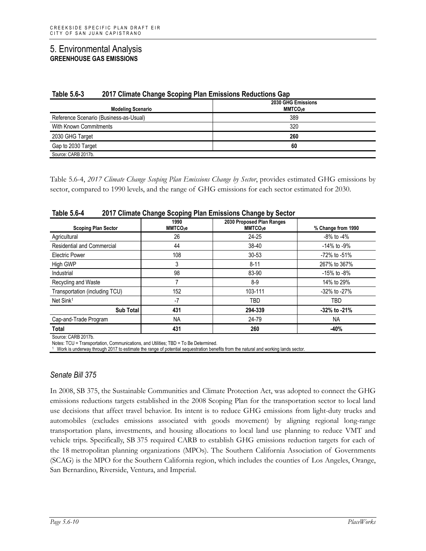| יט.ט טוע<br><u>zu i i Ullinate Unange Ocoping Fian Ennosions Reductions Oap</u><br><b>Modeling Scenario</b> | 2030 GHG Emissions<br>MMTCO <sub>2</sub> e |  |
|-------------------------------------------------------------------------------------------------------------|--------------------------------------------|--|
| Reference Scenario (Business-as-Usual)                                                                      | 389                                        |  |
| With Known Commitments                                                                                      | 320                                        |  |
| 2030 GHG Target                                                                                             | 260                                        |  |
| Gap to 2030 Target                                                                                          | 60                                         |  |
| Source: CARB 2017b.                                                                                         |                                            |  |

#### **Table 5.6-3 2017 Climate Change Scoping Plan Emissions Reductions Gap**

Table 5.6-4, *2017 Climate Change Scoping Plan Emissions Change by Sector*, provides estimated GHG emissions by sector, compared to 1990 levels, and the range of GHG emissions for each sector estimated for 2030.

| <b>Scoping Plan Sector</b>        | 1990<br>MMTCO <sub>2</sub> e | 2030 Proposed Plan Ranges<br>MMTCO <sub>2</sub> e | % Change from 1990 |
|-----------------------------------|------------------------------|---------------------------------------------------|--------------------|
| Agricultural                      | 26                           | $24 - 25$                                         | $-8\%$ to $-4\%$   |
| <b>Residential and Commercial</b> | 44                           | 38-40                                             | $-14\%$ to $-9\%$  |
| <b>Electric Power</b>             | 108                          | $30 - 53$                                         | -72% to -51%       |
| <b>High GWP</b>                   | 3                            | $8 - 11$                                          | 267% to 367%       |
| Industrial                        | 98                           | 83-90                                             | -15% to -8%        |
| Recycling and Waste               |                              | 8-9                                               | 14% to 29%         |
| Transportation (including TCU)    | 152                          | 103-111                                           | -32% to -27%       |
| Net Sink <sup>1</sup>             | $-7$                         | TBD                                               | TBD                |
| <b>Sub Total</b>                  | 431                          | 294-339                                           | -32% to -21%       |
| Cap-and-Trade Program             | <b>NA</b>                    | 24-79                                             | <b>NA</b>          |
| Total                             | 431                          | 260                                               | -40%               |

#### **Table 5.6-4 2017 Climate Change Scoping Plan Emissions Change by Sector**

Source: CARB 2017b.

Notes: TCU = Transportation, Communications, and Utilities; TBD = To Be Determined.

<sup>1</sup> Work is underway through 2017 to estimate the range of potential sequestration benefits from the natural and working lands sector.

#### *Senate Bill 375*

In 2008, SB 375, the Sustainable Communities and Climate Protection Act, was adopted to connect the GHG emissions reductions targets established in the 2008 Scoping Plan for the transportation sector to local land use decisions that affect travel behavior. Its intent is to reduce GHG emissions from light-duty trucks and automobiles (excludes emissions associated with goods movement) by aligning regional long-range transportation plans, investments, and housing allocations to local land use planning to reduce VMT and vehicle trips. Specifically, SB 375 required CARB to establish GHG emissions reduction targets for each of the 18 metropolitan planning organizations (MPOs). The Southern California Association of Governments (SCAG) is the MPO for the Southern California region, which includes the counties of Los Angeles, Orange, San Bernardino, Riverside, Ventura, and Imperial.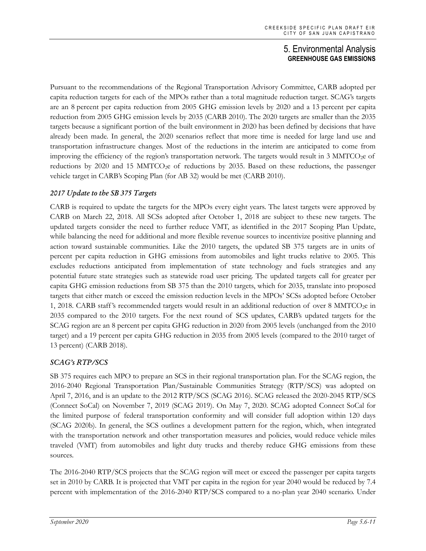Pursuant to the recommendations of the Regional Transportation Advisory Committee, CARB adopted per capita reduction targets for each of the MPOs rather than a total magnitude reduction target. SCAG's targets are an 8 percent per capita reduction from 2005 GHG emission levels by 2020 and a 13 percent per capita reduction from 2005 GHG emission levels by 2035 (CARB 2010). The 2020 targets are smaller than the 2035 targets because a significant portion of the built environment in 2020 has been defined by decisions that have already been made. In general, the 2020 scenarios reflect that more time is needed for large land use and transportation infrastructure changes. Most of the reductions in the interim are anticipated to come from improving the efficiency of the region's transportation network. The targets would result in 3 MMTCO<sub>2</sub>e of reductions by 2020 and 15 MMTCO<sub>2</sub>e of reductions by 2035. Based on these reductions, the passenger vehicle target in CARB's Scoping Plan (for AB 32) would be met (CARB 2010).

#### *2017 Update to the SB 375 Targets*

CARB is required to update the targets for the MPOs every eight years. The latest targets were approved by CARB on March 22, 2018. All SCSs adopted after October 1, 2018 are subject to these new targets. The updated targets consider the need to further reduce VMT, as identified in the 2017 Scoping Plan Update, while balancing the need for additional and more flexible revenue sources to incentivize positive planning and action toward sustainable communities. Like the 2010 targets, the updated SB 375 targets are in units of percent per capita reduction in GHG emissions from automobiles and light trucks relative to 2005. This excludes reductions anticipated from implementation of state technology and fuels strategies and any potential future state strategies such as statewide road user pricing. The updated targets call for greater per capita GHG emission reductions from SB 375 than the 2010 targets, which for 2035, translate into proposed targets that either match or exceed the emission reduction levels in the MPOs' SCSs adopted before October 1, 2018. CARB staff's recommended targets would result in an additional reduction of over 8 MMTCO<sub>2</sub>e in 2035 compared to the 2010 targets. For the next round of SCS updates, CARB's updated targets for the SCAG region are an 8 percent per capita GHG reduction in 2020 from 2005 levels (unchanged from the 2010 target) and a 19 percent per capita GHG reduction in 2035 from 2005 levels (compared to the 2010 target of 13 percent) (CARB 2018).

#### *SCAG's RTP/SCS*

SB 375 requires each MPO to prepare an SCS in their regional transportation plan. For the SCAG region, the 2016-2040 Regional Transportation Plan/Sustainable Communities Strategy (RTP/SCS) was adopted on April 7, 2016, and is an update to the 2012 RTP/SCS (SCAG 2016). SCAG released the 2020-2045 RTP/SCS (Connect SoCal) on November 7, 2019 (SCAG 2019). On May 7, 2020. SCAG adopted Connect SoCal for the limited purpose of federal transportation conformity and will consider full adoption within 120 days (SCAG 2020b). In general, the SCS outlines a development pattern for the region, which, when integrated with the transportation network and other transportation measures and policies, would reduce vehicle miles traveled (VMT) from automobiles and light duty trucks and thereby reduce GHG emissions from these sources.

The 2016-2040 RTP/SCS projects that the SCAG region will meet or exceed the passenger per capita targets set in 2010 by CARB. It is projected that VMT per capita in the region for year 2040 would be reduced by 7.4 percent with implementation of the 2016-2040 RTP/SCS compared to a no-plan year 2040 scenario. Under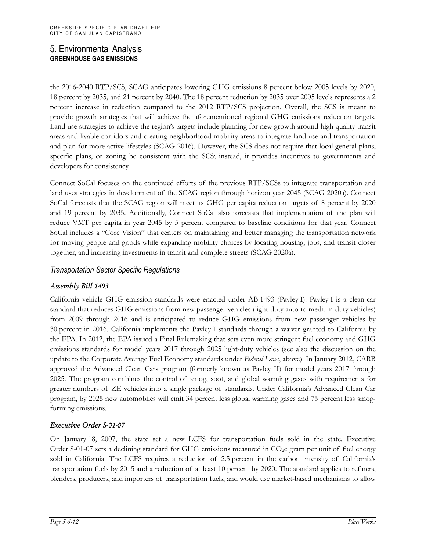the 2016-2040 RTP/SCS, SCAG anticipates lowering GHG emissions 8 percent below 2005 levels by 2020, 18 percent by 2035, and 21 percent by 2040. The 18 percent reduction by 2035 over 2005 levels represents a 2 percent increase in reduction compared to the 2012 RTP/SCS projection. Overall, the SCS is meant to provide growth strategies that will achieve the aforementioned regional GHG emissions reduction targets. Land use strategies to achieve the region's targets include planning for new growth around high quality transit areas and livable corridors and creating neighborhood mobility areas to integrate land use and transportation and plan for more active lifestyles (SCAG 2016). However, the SCS does not require that local general plans, specific plans, or zoning be consistent with the SCS; instead, it provides incentives to governments and developers for consistency.

Connect SoCal focuses on the continued efforts of the previous RTP/SCSs to integrate transportation and land uses strategies in development of the SCAG region through horizon year 2045 (SCAG 2020a). Connect SoCal forecasts that the SCAG region will meet its GHG per capita reduction targets of 8 percent by 2020 and 19 percent by 2035. Additionally, Connect SoCal also forecasts that implementation of the plan will reduce VMT per capita in year 2045 by 5 percent compared to baseline conditions for that year. Connect SoCal includes a "Core Vision" that centers on maintaining and better managing the transportation network for moving people and goods while expanding mobility choices by locating housing, jobs, and transit closer together, and increasing investments in transit and complete streets (SCAG 2020a).

## *Transportation Sector Specific Regulations*

#### *Assembly Bill 1493*

California vehicle GHG emission standards were enacted under AB 1493 (Pavley I). Pavley I is a clean-car standard that reduces GHG emissions from new passenger vehicles (light-duty auto to medium-duty vehicles) from 2009 through 2016 and is anticipated to reduce GHG emissions from new passenger vehicles by 30 percent in 2016. California implements the Pavley I standards through a waiver granted to California by the EPA. In 2012, the EPA issued a Final Rulemaking that sets even more stringent fuel economy and GHG emissions standards for model years 2017 through 2025 light-duty vehicles (see also the discussion on the update to the Corporate Average Fuel Economy standards under *Federal Laws*, above). In January 2012, CARB approved the Advanced Clean Cars program (formerly known as Pavley II) for model years 2017 through 2025. The program combines the control of smog, soot, and global warming gases with requirements for greater numbers of ZE vehicles into a single package of standards. Under California's Advanced Clean Car program, by 2025 new automobiles will emit 34 percent less global warming gases and 75 percent less smogforming emissions.

#### *Executive Order S-01-07*

On January 18, 2007, the state set a new LCFS for transportation fuels sold in the state. Executive Order S-01-07 sets a declining standard for GHG emissions measured in CO2e gram per unit of fuel energy sold in California. The LCFS requires a reduction of 2.5 percent in the carbon intensity of California's transportation fuels by 2015 and a reduction of at least 10 percent by 2020. The standard applies to refiners, blenders, producers, and importers of transportation fuels, and would use market-based mechanisms to allow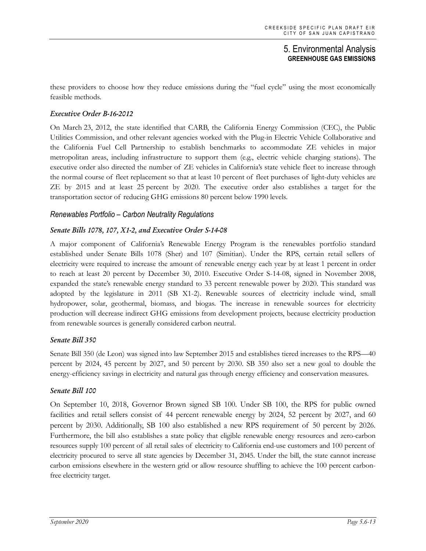these providers to choose how they reduce emissions during the "fuel cycle" using the most economically feasible methods.

#### *Executive Order B-16-2012*

On March 23, 2012, the state identified that CARB, the California Energy Commission (CEC), the Public Utilities Commission, and other relevant agencies worked with the Plug-in Electric Vehicle Collaborative and the California Fuel Cell Partnership to establish benchmarks to accommodate ZE vehicles in major metropolitan areas, including infrastructure to support them (e.g., electric vehicle charging stations). The executive order also directed the number of ZE vehicles in California's state vehicle fleet to increase through the normal course of fleet replacement so that at least 10 percent of fleet purchases of light-duty vehicles are ZE by 2015 and at least 25 percent by 2020. The executive order also establishes a target for the transportation sector of reducing GHG emissions 80 percent below 1990 levels.

#### *Renewables Portfolio – Carbon Neutrality Regulations*

#### *Senate Bills 1078, 107, X1-2, and Executive Order S-14-08*

A major component of California's Renewable Energy Program is the renewables portfolio standard established under Senate Bills 1078 (Sher) and 107 (Simitian). Under the RPS, certain retail sellers of electricity were required to increase the amount of renewable energy each year by at least 1 percent in order to reach at least 20 percent by December 30, 2010. Executive Order S-14-08, signed in November 2008, expanded the state's renewable energy standard to 33 percent renewable power by 2020. This standard was adopted by the legislature in 2011 (SB X1-2). Renewable sources of electricity include wind, small hydropower, solar, geothermal, biomass, and biogas. The increase in renewable sources for electricity production will decrease indirect GHG emissions from development projects, because electricity production from renewable sources is generally considered carbon neutral.

#### *Senate Bill 350*

Senate Bill 350 (de Leon) was signed into law September 2015 and establishes tiered increases to the RPS—40 percent by 2024, 45 percent by 2027, and 50 percent by 2030. SB 350 also set a new goal to double the energy-efficiency savings in electricity and natural gas through energy efficiency and conservation measures.

#### *Senate Bill 100*

On September 10, 2018, Governor Brown signed SB 100. Under SB 100, the RPS for public owned facilities and retail sellers consist of 44 percent renewable energy by 2024, 52 percent by 2027, and 60 percent by 2030. Additionally, SB 100 also established a new RPS requirement of 50 percent by 2026. Furthermore, the bill also establishes a state policy that eligible renewable energy resources and zero-carbon resources supply 100 percent of all retail sales of electricity to California end-use customers and 100 percent of electricity procured to serve all state agencies by December 31, 2045. Under the bill, the state cannot increase carbon emissions elsewhere in the western grid or allow resource shuffling to achieve the 100 percent carbonfree electricity target.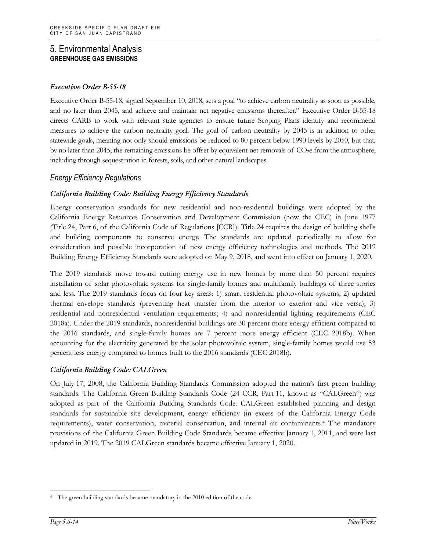#### *Executive Order B-55-18*

Executive Order B-55-18, signed September 10, 2018, sets a goal "to achieve carbon neutrality as soon as possible, and no later than 2045, and achieve and maintain net negative emissions thereafter." Executive Order B-55-18 directs CARB to work with relevant state agencies to ensure future Scoping Plans identify and recommend measures to achieve the carbon neutrality goal. The goal of carbon neutrality by 2045 is in addition to other statewide goals, meaning not only should emissions be reduced to 80 percent below 1990 levels by 2050, but that, by no later than 2045, the remaining emissions be offset by equivalent net removals of  $CO<sub>2</sub>e$  from the atmosphere, including through sequestration in forests, soils, and other natural landscapes.

#### *Energy Efficiency Regulations*

#### *California Building Code: Building Energy Efficiency Standards*

Energy conservation standards for new residential and non-residential buildings were adopted by the California Energy Resources Conservation and Development Commission (now the CEC) in June 1977 (Title 24, Part 6, of the California Code of Regulations [CCR]). Title 24 requires the design of building shells and building components to conserve energy. The standards are updated periodically to allow for consideration and possible incorporation of new energy efficiency technologies and methods. The 2019 Building Energy Efficiency Standards were adopted on May 9, 2018, and went into effect on January 1, 2020.

The 2019 standards move toward cutting energy use in new homes by more than 50 percent requires installation of solar photovoltaic systems for single-family homes and multifamily buildings of three stories and less. The 2019 standards focus on four key areas: 1) smart residential photovoltaic systems; 2) updated thermal envelope standards (preventing heat transfer from the interior to exterior and vice versa); 3) residential and nonresidential ventilation requirements; 4) and nonresidential lighting requirements (CEC 2018a). Under the 2019 standards, nonresidential buildings are 30 percent more energy efficient compared to the 2016 standards, and single-family homes are 7 percent more energy efficient (CEC 2018b). When accounting for the electricity generated by the solar photovoltaic system, single-family homes would use 53 percent less energy compared to homes built to the 2016 standards (CEC 2018b).

#### *California Building Code: CALGreen*

On July 17, 2008, the California Building Standards Commission adopted the nation's first green building standards. The California Green Building Standards Code (24 CCR, Part 11, known as "CALGreen") was adopted as part of the California Building Standards Code. CALGreen established planning and design standards for sustainable site development, energy efficiency (in excess of the California Energy Code requirements), water conservation, material conservation, and internal air contaminants.[4](#page-13-0) The mandatory provisions of the California Green Building Code Standards became effective January 1, 2011, and were last updated in 2019. The 2019 CALGreen standards became effective January 1, 2020.

<span id="page-13-0"></span><sup>&</sup>lt;sup>4</sup> The green building standards became mandatory in the 2010 edition of the code.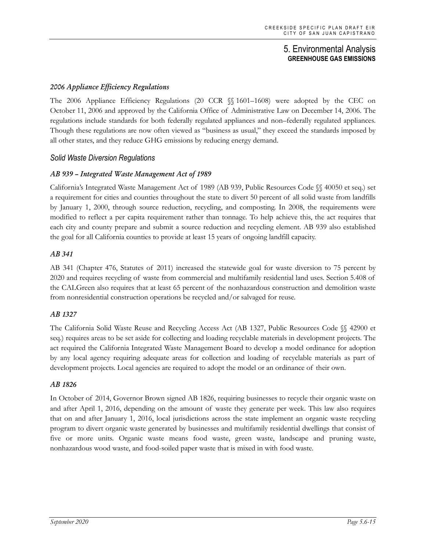#### *2006 Appliance Efficiency Regulations*

The 2006 Appliance Efficiency Regulations (20 CCR §§ 1601–1608) were adopted by the CEC on October 11, 2006 and approved by the California Office of Administrative Law on December 14, 2006. The regulations include standards for both federally regulated appliances and non–federally regulated appliances. Though these regulations are now often viewed as "business as usual," they exceed the standards imposed by all other states, and they reduce GHG emissions by reducing energy demand.

#### *Solid Waste Diversion Regulations*

#### *AB 939 – Integrated Waste Management Act of 1989*

California's Integrated Waste Management Act of 1989 (AB 939, Public Resources Code §§ 40050 et seq.) set a requirement for cities and counties throughout the state to divert 50 percent of all solid waste from landfills by January 1, 2000, through source reduction, recycling, and composting. In 2008, the requirements were modified to reflect a per capita requirement rather than tonnage. To help achieve this, the act requires that each city and county prepare and submit a source reduction and recycling element. AB 939 also established the goal for all California counties to provide at least 15 years of ongoing landfill capacity.

#### *AB 341*

AB 341 (Chapter 476, Statutes of 2011) increased the statewide goal for waste diversion to 75 percent by 2020 and requires recycling of waste from commercial and multifamily residential land uses. Section 5.408 of the CALGreen also requires that at least 65 percent of the nonhazardous construction and demolition waste from nonresidential construction operations be recycled and/or salvaged for reuse.

#### *AB 1327*

The California Solid Waste Reuse and Recycling Access Act (AB 1327, Public Resources Code §§ 42900 et seq.) requires areas to be set aside for collecting and loading recyclable materials in development projects. The act required the California Integrated Waste Management Board to develop a model ordinance for adoption by any local agency requiring adequate areas for collection and loading of recyclable materials as part of development projects. Local agencies are required to adopt the model or an ordinance of their own.

#### *AB 1826*

In October of 2014, Governor Brown signed AB 1826, requiring businesses to recycle their organic waste on and after April 1, 2016, depending on the amount of waste they generate per week. This law also requires that on and after January 1, 2016, local jurisdictions across the state implement an organic waste recycling program to divert organic waste generated by businesses and multifamily residential dwellings that consist of five or more units. Organic waste means food waste, green waste, landscape and pruning waste, nonhazardous wood waste, and food-soiled paper waste that is mixed in with food waste.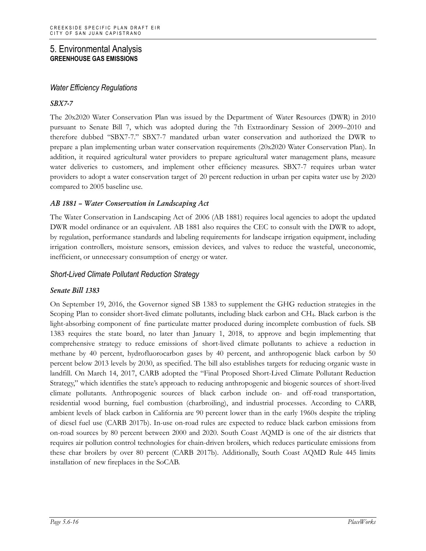#### *Water Efficiency Regulations*

#### *SBX7-7*

The 20x2020 Water Conservation Plan was issued by the Department of Water Resources (DWR) in 2010 pursuant to Senate Bill 7, which was adopted during the 7th Extraordinary Session of 2009–2010 and therefore dubbed "SBX7-7." SBX7-7 mandated urban water conservation and authorized the DWR to prepare a plan implementing urban water conservation requirements (20x2020 Water Conservation Plan). In addition, it required agricultural water providers to prepare agricultural water management plans, measure water deliveries to customers, and implement other efficiency measures. SBX7-7 requires urban water providers to adopt a water conservation target of 20 percent reduction in urban per capita water use by 2020 compared to 2005 baseline use.

#### *AB 1881 – Water Conservation in Landscaping Act*

The Water Conservation in Landscaping Act of 2006 (AB 1881) requires local agencies to adopt the updated DWR model ordinance or an equivalent. AB 1881 also requires the CEC to consult with the DWR to adopt, by regulation, performance standards and labeling requirements for landscape irrigation equipment, including irrigation controllers, moisture sensors, emission devices, and valves to reduce the wasteful, uneconomic, inefficient, or unnecessary consumption of energy or water.

#### *Short-Lived Climate Pollutant Reduction Strategy*

#### *Senate Bill 1383*

On September 19, 2016, the Governor signed SB 1383 to supplement the GHG reduction strategies in the Scoping Plan to consider short-lived climate pollutants, including black carbon and CH4. Black carbon is the light-absorbing component of fine particulate matter produced during incomplete combustion of fuels. SB 1383 requires the state board, no later than January 1, 2018, to approve and begin implementing that comprehensive strategy to reduce emissions of short-lived climate pollutants to achieve a reduction in methane by 40 percent, hydrofluorocarbon gases by 40 percent, and anthropogenic black carbon by 50 percent below 2013 levels by 2030, as specified. The bill also establishes targets for reducing organic waste in landfill. On March 14, 2017, CARB adopted the "Final Proposed Short-Lived Climate Pollutant Reduction Strategy," which identifies the state's approach to reducing anthropogenic and biogenic sources of short-lived climate pollutants. Anthropogenic sources of black carbon include on- and off-road transportation, residential wood burning, fuel combustion (charbroiling), and industrial processes. According to CARB, ambient levels of black carbon in California are 90 percent lower than in the early 1960s despite the tripling of diesel fuel use (CARB 2017b). In-use on-road rules are expected to reduce black carbon emissions from on-road sources by 80 percent between 2000 and 2020. South Coast AQMD is one of the air districts that requires air pollution control technologies for chain-driven broilers, which reduces particulate emissions from these char broilers by over 80 percent (CARB 2017b). Additionally, South Coast AQMD Rule 445 limits installation of new fireplaces in the SoCAB.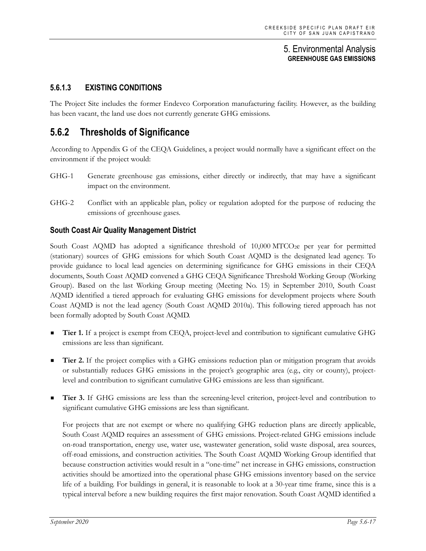## **5.6.1.3 EXISTING CONDITIONS**

The Project Site includes the former Endevco Corporation manufacturing facility. However, as the building has been vacant, the land use does not currently generate GHG emissions.

# **5.6.2 Thresholds of Significance**

According to Appendix G of the CEQA Guidelines, a project would normally have a significant effect on the environment if the project would:

- GHG-1 Generate greenhouse gas emissions, either directly or indirectly, that may have a significant impact on the environment.
- GHG-2 Conflict with an applicable plan, policy or regulation adopted for the purpose of reducing the emissions of greenhouse gases.

#### **South Coast Air Quality Management District**

South Coast AQMD has adopted a significance threshold of 10,000 MTCO<sub>2</sub>e per year for permitted (stationary) sources of GHG emissions for which South Coast AQMD is the designated lead agency. To provide guidance to local lead agencies on determining significance for GHG emissions in their CEQA documents, South Coast AQMD convened a GHG CEQA Significance Threshold Working Group (Working Group). Based on the last Working Group meeting (Meeting No. 15) in September 2010, South Coast AQMD identified a tiered approach for evaluating GHG emissions for development projects where South Coast AQMD is not the lead agency (South Coast AQMD 2010a). This following tiered approach has not been formally adopted by South Coast AQMD.

- **Tier 1.** If a project is exempt from CEQA, project-level and contribution to significant cumulative GHG emissions are less than significant.
- **Tier 2.** If the project complies with a GHG emissions reduction plan or mitigation program that avoids or substantially reduces GHG emissions in the project's geographic area (e.g., city or county), projectlevel and contribution to significant cumulative GHG emissions are less than significant.
- **Tier 3.** If GHG emissions are less than the screening-level criterion, project-level and contribution to significant cumulative GHG emissions are less than significant.

For projects that are not exempt or where no qualifying GHG reduction plans are directly applicable, South Coast AQMD requires an assessment of GHG emissions. Project-related GHG emissions include on-road transportation, energy use, water use, wastewater generation, solid waste disposal, area sources, off-road emissions, and construction activities. The South Coast AQMD Working Group identified that because construction activities would result in a "one-time" net increase in GHG emissions, construction activities should be amortized into the operational phase GHG emissions inventory based on the service life of a building. For buildings in general, it is reasonable to look at a 30-year time frame, since this is a typical interval before a new building requires the first major renovation. South Coast AQMD identified a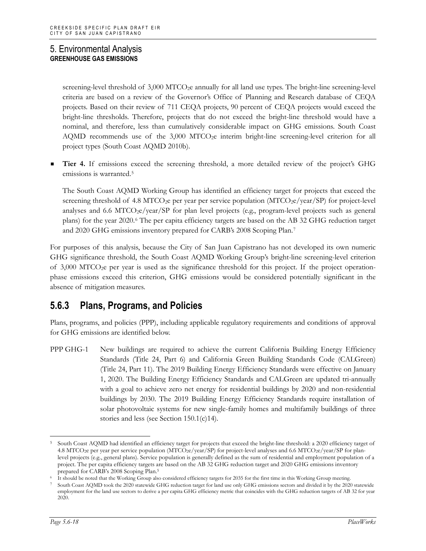screening-level threshold of 3,000 MTCO<sub>2</sub>e annually for all land use types. The bright-line screening-level criteria are based on a review of the Governor's Office of Planning and Research database of CEQA projects. Based on their review of 711 CEQA projects, 90 percent of CEQA projects would exceed the bright-line thresholds. Therefore, projects that do not exceed the bright-line threshold would have a nominal, and therefore, less than cumulatively considerable impact on GHG emissions. South Coast  $\Lambda QMD$  recommends use of the 3,000 MTCO<sub>2</sub>e interim bright-line screening-level criterion for all project types (South Coast AQMD 2010b).

 **Tier 4.** If emissions exceed the screening threshold, a more detailed review of the project's GHG emissions is warranted.<sup>[5](#page-17-0)</sup>

The South Coast AQMD Working Group has identified an efficiency target for projects that exceed the screening threshold of 4.8 MTCO<sub>2</sub>e per year per service population (MTCO<sub>2</sub>e/year/SP) for project-level analyses and 6.6 MTCO<sub>2</sub>e/year/SP for plan level projects (e.g., program-level projects such as general plans) for the year 2020.[6](#page-17-1) The per capita efficiency targets are based on the AB 32 GHG reduction target and 2020 GHG emissions inventory prepared for CARB's 2008 Scoping Plan.[7](#page-17-2)

For purposes of this analysis, because the City of San Juan Capistrano has not developed its own numeric GHG significance threshold, the South Coast AQMD Working Group's bright-line screening-level criterion of 3,000 MTCO2e per year is used as the significance threshold for this project. If the project operationphase emissions exceed this criterion, GHG emissions would be considered potentially significant in the absence of mitigation measures.

# **5.6.3 Plans, Programs, and Policies**

Plans, programs, and policies (PPP), including applicable regulatory requirements and conditions of approval for GHG emissions are identified below.

PPP GHG-1 New buildings are required to achieve the current California Building Energy Efficiency Standards (Title 24, Part 6) and California Green Building Standards Code (CALGreen) (Title 24, Part 11). The 2019 Building Energy Efficiency Standards were effective on January 1, 2020. The Building Energy Efficiency Standards and CALGreen are updated tri-annually with a goal to achieve zero net energy for residential buildings by 2020 and non-residential buildings by 2030. The 2019 Building Energy Efficiency Standards require installation of solar photovoltaic systems for new single-family homes and multifamily buildings of three stories and less (see Section 150.1(c)14).

<span id="page-17-0"></span><sup>5</sup> South Coast AQMD had identified an efficiency target for projects that exceed the bright-line threshold: a 2020 efficiency target of 4.8 MTCO<sub>2</sub>e per year per service population (MTCO<sub>2</sub>e/year/SP) for project-level analyses and 6.6 MTCO<sub>2</sub>e/year/SP for planlevel projects (e.g., general plans). Service population is generally defined as the sum of residential and employment population of a project. The per capita efficiency targets are based on the AB 32 GHG reduction target and 2020 GHG emissions inventory prepared for CARB's 2008 Scoping Plan.5

<span id="page-17-1"></span><sup>6</sup> It should be noted that the Working Group also considered efficiency targets for 2035 for the first time in this Working Group meeting.

<span id="page-17-2"></span><sup>7</sup> South Coast AQMD took the 2020 statewide GHG reduction target for land use only GHG emissions sectors and divided it by the 2020 statewide employment for the land use sectors to derive a per capita GHG efficiency metric that coincides with the GHG reduction targets of AB 32 for year 2020.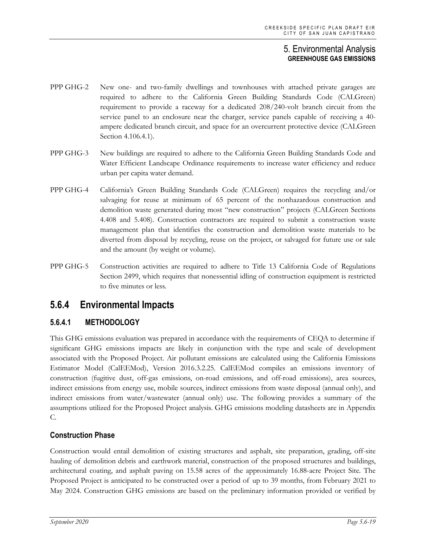- PPP GHG-2 New one- and two-family dwellings and townhouses with attached private garages are required to adhere to the California Green Building Standards Code (CALGreen) requirement to provide a raceway for a dedicated 208/240-volt branch circuit from the service panel to an enclosure near the charger, service panels capable of receiving a 40 ampere dedicated branch circuit, and space for an overcurrent protective device (CALGreen Section 4.106.4.1).
- PPP GHG-3 New buildings are required to adhere to the California Green Building Standards Code and Water Efficient Landscape Ordinance requirements to increase water efficiency and reduce urban per capita water demand.
- PPP GHG-4 California's Green Building Standards Code (CALGreen) requires the recycling and/or salvaging for reuse at minimum of 65 percent of the nonhazardous construction and demolition waste generated during most "new construction" projects (CALGreen Sections 4.408 and 5.408). Construction contractors are required to submit a construction waste management plan that identifies the construction and demolition waste materials to be diverted from disposal by recycling, reuse on the project, or salvaged for future use or sale and the amount (by weight or volume).
- PPP GHG-5 Construction activities are required to adhere to Title 13 California Code of Regulations Section 2499, which requires that nonessential idling of construction equipment is restricted to five minutes or less.

# **5.6.4 Environmental Impacts**

## **5.6.4.1 METHODOLOGY**

This GHG emissions evaluation was prepared in accordance with the requirements of CEQA to determine if significant GHG emissions impacts are likely in conjunction with the type and scale of development associated with the Proposed Project. Air pollutant emissions are calculated using the California Emissions Estimator Model (CalEEMod), Version 2016.3.2.25. CalEEMod compiles an emissions inventory of construction (fugitive dust, off-gas emissions, on-road emissions, and off-road emissions), area sources, indirect emissions from energy use, mobile sources, indirect emissions from waste disposal (annual only), and indirect emissions from water/wastewater (annual only) use. The following provides a summary of the assumptions utilized for the Proposed Project analysis. GHG emissions modeling datasheets are in Appendix C.

#### **Construction Phase**

Construction would entail demolition of existing structures and asphalt, site preparation, grading, off-site hauling of demolition debris and earthwork material, construction of the proposed structures and buildings, architectural coating, and asphalt paving on 15.58 acres of the approximately 16.88-acre Project Site. The Proposed Project is anticipated to be constructed over a period of up to 39 months, from February 2021 to May 2024. Construction GHG emissions are based on the preliminary information provided or verified by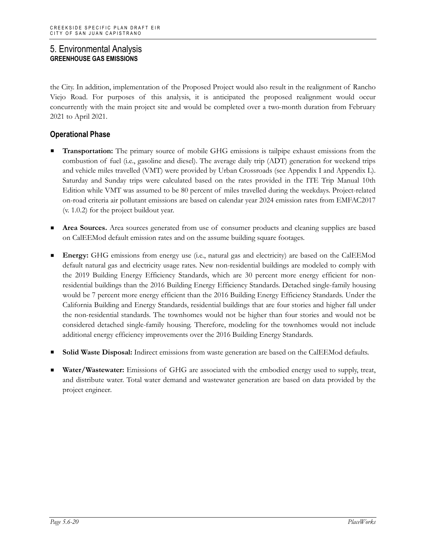the City. In addition, implementation of the Proposed Project would also result in the realignment of Rancho Viejo Road. For purposes of this analysis, it is anticipated the proposed realignment would occur concurrently with the main project site and would be completed over a two-month duration from February 2021 to April 2021.

#### **Operational Phase**

- **Transportation:** The primary source of mobile GHG emissions is tailpipe exhaust emissions from the combustion of fuel (i.e., gasoline and diesel). The average daily trip (ADT) generation for weekend trips and vehicle miles travelled (VMT) were provided by Urban Crossroads (see Appendix I and Appendix L). Saturday and Sunday trips were calculated based on the rates provided in the ITE Trip Manual 10th Edition while VMT was assumed to be 80 percent of miles travelled during the weekdays. Project-related on-road criteria air pollutant emissions are based on calendar year 2024 emission rates from EMFAC2017 (v. 1.0.2) for the project buildout year.
- **Area Sources.** Area sources generated from use of consumer products and cleaning supplies are based on CalEEMod default emission rates and on the assume building square footages.
- **Energy:** GHG emissions from energy use (i.e., natural gas and electricity) are based on the CalEEMod default natural gas and electricity usage rates. New non-residential buildings are modeled to comply with the 2019 Building Energy Efficiency Standards, which are 30 percent more energy efficient for nonresidential buildings than the 2016 Building Energy Efficiency Standards. Detached single-family housing would be 7 percent more energy efficient than the 2016 Building Energy Efficiency Standards. Under the California Building and Energy Standards, residential buildings that are four stories and higher fall under the non-residential standards. The townhomes would not be higher than four stories and would not be considered detached single-family housing. Therefore, modeling for the townhomes would not include additional energy efficiency improvements over the 2016 Building Energy Standards.
- **Solid Waste Disposal:** Indirect emissions from waste generation are based on the CalEEMod defaults.
- **Water/Wastewater:** Emissions of GHG are associated with the embodied energy used to supply, treat, and distribute water. Total water demand and wastewater generation are based on data provided by the project engineer.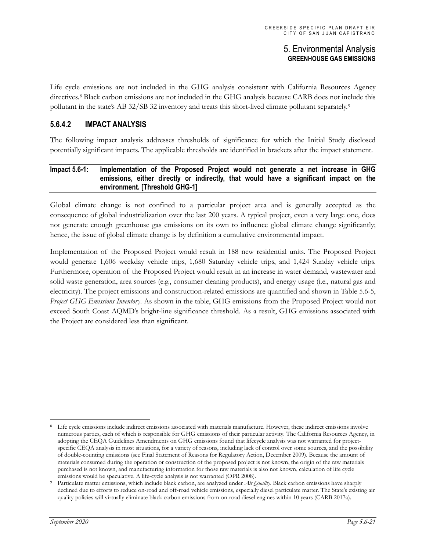Life cycle emissions are not included in the GHG analysis consistent with California Resources Agency directives[.8](#page-20-0) Black carbon emissions are not included in the GHG analysis because CARB does not include this pollutant in the state's AB 32/SB 32 inventory and treats this short-lived climate pollutant separately.[9](#page-20-1)

## **5.6.4.2 IMPACT ANALYSIS**

The following impact analysis addresses thresholds of significance for which the Initial Study disclosed potentially significant impacts. The applicable thresholds are identified in brackets after the impact statement.

#### **Impact 5.6-1: Implementation of the Proposed Project would not generate a net increase in GHG emissions, either directly or indirectly, that would have a significant impact on the environment. [Threshold GHG-1]**

Global climate change is not confined to a particular project area and is generally accepted as the consequence of global industrialization over the last 200 years. A typical project, even a very large one, does not generate enough greenhouse gas emissions on its own to influence global climate change significantly; hence, the issue of global climate change is by definition a cumulative environmental impact.

Implementation of the Proposed Project would result in 188 new residential units. The Proposed Project would generate 1,606 weekday vehicle trips, 1,680 Saturday vehicle trips, and 1,424 Sunday vehicle trips. Furthermore, operation of the Proposed Project would result in an increase in water demand, wastewater and solid waste generation, area sources (e.g., consumer cleaning products), and energy usage (i.e., natural gas and electricity). The project emissions and construction-related emissions are quantified and shown in Table 5.6-5, *Project GHG Emissions Inventory*. As shown in the table, GHG emissions from the Proposed Project would not exceed South Coast AQMD's bright-line significance threshold. As a result, GHG emissions associated with the Project are considered less than significant.

<span id="page-20-0"></span>Life cycle emissions include indirect emissions associated with materials manufacture. However, these indirect emissions involve numerous parties, each of which is responsible for GHG emissions of their particular activity. The California Resources Agency, in adopting the CEQA Guidelines Amendments on GHG emissions found that lifecycle analysis was not warranted for projectspecific CEQA analysis in most situations, for a variety of reasons, including lack of control over some sources, and the possibility of double-counting emissions (see Final Statement of Reasons for Regulatory Action, December 2009). Because the amount of materials consumed during the operation or construction of the proposed project is not known, the origin of the raw materials purchased is not known, and manufacturing information for those raw materials is also not known, calculation of life cycle emissions would be speculative. A life-cycle analysis is not warranted (OPR 2008).

<span id="page-20-1"></span><sup>9</sup> Particulate matter emissions, which include black carbon, are analyzed under *Air Quality*. Black carbon emissions have sharply declined due to efforts to reduce on-road and off-road vehicle emissions, especially diesel particulate matter. The State's existing air quality policies will virtually eliminate black carbon emissions from on-road diesel engines within 10 years (CARB 2017a).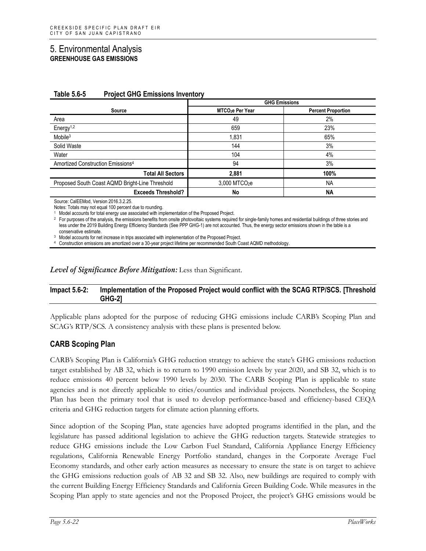|                                                 | <b>GHG Emissions</b>         |                           |  |
|-------------------------------------------------|------------------------------|---------------------------|--|
| Source                                          | MTCO <sub>2</sub> e Per Year | <b>Percent Proportion</b> |  |
| Area                                            | 49                           | 2%                        |  |
| Energy <sup><math>1,2</math></sup>              | 659                          | 23%                       |  |
| $M$ obile $3$                                   | 1,831                        | 65%                       |  |
| Solid Waste                                     | 144                          | 3%                        |  |
| Water                                           | 104                          | 4%                        |  |
| Amortized Construction Emissions <sup>4</sup>   | 94                           | 3%                        |  |
| <b>Total All Sectors</b>                        | 2.881                        | 100%                      |  |
| Proposed South Coast AQMD Bright-Line Threshold | 3,000 MTCO <sub>2</sub> e    | <b>NA</b>                 |  |
| <b>Exceeds Threshold?</b>                       | No                           | <b>NA</b>                 |  |

#### **Table 5.6-5 Project GHG Emissions Inventory**

Source: CalEEMod, Version 2016.3.2.25.

Notes: Totals may not equal 100 percent due to rounding.

<sup>1</sup> Model accounts for total energy use associated with implementation of the Proposed Project.

<sup>2</sup> For purposes of the analysis, the emissions benefits from onsite photovoltaic systems required for single-family homes and residential buildings of three stories and less under the 2019 Building Energy Efficiency Standards (See PPP GHG-1) are not accounted. Thus, the energy sector emissions shown in the table is a conservative estimate.

<sup>3</sup> Model accounts for net increase in trips associated with implementation of the Proposed Project.

<sup>4</sup> Construction emissions are amortized over a 30-year project lifetime per recommended South Coast AQMD methodology.

*Level of Significance Before Mitigation:* Less than Significant.

#### **Impact 5.6-2: Implementation of the Proposed Project would conflict with the SCAG RTP/SCS. [Threshold GHG-2]**

Applicable plans adopted for the purpose of reducing GHG emissions include CARB's Scoping Plan and SCAG's RTP/SCS. A consistency analysis with these plans is presented below.

#### **CARB Scoping Plan**

CARB's Scoping Plan is California's GHG reduction strategy to achieve the state's GHG emissions reduction target established by AB 32, which is to return to 1990 emission levels by year 2020, and SB 32, which is to reduce emissions 40 percent below 1990 levels by 2030. The CARB Scoping Plan is applicable to state agencies and is not directly applicable to cities/counties and individual projects. Nonetheless, the Scoping Plan has been the primary tool that is used to develop performance-based and efficiency-based CEQA criteria and GHG reduction targets for climate action planning efforts.

Since adoption of the Scoping Plan, state agencies have adopted programs identified in the plan, and the legislature has passed additional legislation to achieve the GHG reduction targets. Statewide strategies to reduce GHG emissions include the Low Carbon Fuel Standard, California Appliance Energy Efficiency regulations, California Renewable Energy Portfolio standard, changes in the Corporate Average Fuel Economy standards, and other early action measures as necessary to ensure the state is on target to achieve the GHG emissions reduction goals of AB 32 and SB 32. Also, new buildings are required to comply with the current Building Energy Efficiency Standards and California Green Building Code. While measures in the Scoping Plan apply to state agencies and not the Proposed Project, the project's GHG emissions would be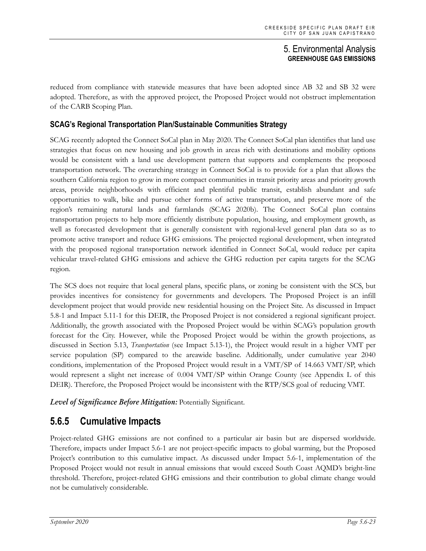reduced from compliance with statewide measures that have been adopted since AB 32 and SB 32 were adopted. Therefore, as with the approved project, the Proposed Project would not obstruct implementation of the CARB Scoping Plan.

## **SCAG's Regional Transportation Plan/Sustainable Communities Strategy**

SCAG recently adopted the Connect SoCal plan in May 2020. The Connect SoCal plan identifies that land use strategies that focus on new housing and job growth in areas rich with destinations and mobility options would be consistent with a land use development pattern that supports and complements the proposed transportation network. The overarching strategy in Connect SoCal is to provide for a plan that allows the southern California region to grow in more compact communities in transit priority areas and priority growth areas, provide neighborhoods with efficient and plentiful public transit, establish abundant and safe opportunities to walk, bike and pursue other forms of active transportation, and preserve more of the region's remaining natural lands and farmlands (SCAG 2020b). The Connect SoCal plan contains transportation projects to help more efficiently distribute population, housing, and employment growth, as well as forecasted development that is generally consistent with regional-level general plan data so as to promote active transport and reduce GHG emissions. The projected regional development, when integrated with the proposed regional transportation network identified in Connect SoCal, would reduce per capita vehicular travel-related GHG emissions and achieve the GHG reduction per capita targets for the SCAG region.

The SCS does not require that local general plans, specific plans, or zoning be consistent with the SCS, but provides incentives for consistency for governments and developers. The Proposed Project is an infill development project that would provide new residential housing on the Project Site. As discussed in Impact 5.8-1 and Impact 5.11-1 for this DEIR, the Proposed Project is not considered a regional significant project. Additionally, the growth associated with the Proposed Project would be within SCAG's population growth forecast for the City. However, while the Proposed Project would be within the growth projections, as discussed in Section 5.13, *Transportation* (see Impact 5.13-1), the Project would result in a higher VMT per service population (SP) compared to the areawide baseline. Additionally, under cumulative year 2040 conditions, implementation of the Proposed Project would result in a VMT/SP of 14.663 VMT/SP, which would represent a slight net increase of 0.004 VMT/SP within Orange County (see Appendix L of this DEIR). Therefore, the Proposed Project would be inconsistent with the RTP/SCS goal of reducing VMT.

*Level of Significance Before Mitigation:* Potentially Significant.

# **5.6.5 Cumulative Impacts**

Project-related GHG emissions are not confined to a particular air basin but are dispersed worldwide. Therefore, impacts under Impact 5.6-1 are not project-specific impacts to global warming, but the Proposed Project's contribution to this cumulative impact. As discussed under Impact 5.6-1, implementation of the Proposed Project would not result in annual emissions that would exceed South Coast AQMD's bright-line threshold. Therefore, project-related GHG emissions and their contribution to global climate change would not be cumulatively considerable.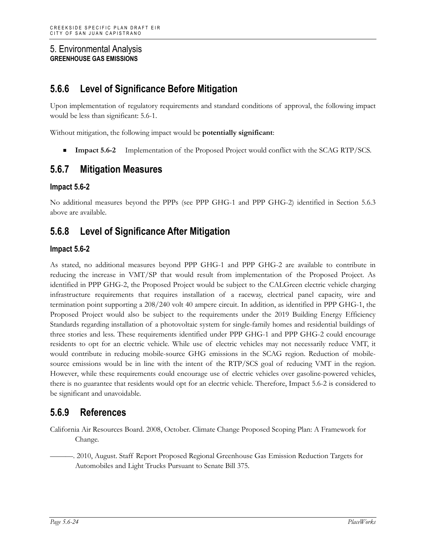# **5.6.6 Level of Significance Before Mitigation**

Upon implementation of regulatory requirements and standard conditions of approval, the following impact would be less than significant: 5.6-1.

Without mitigation, the following impact would be **potentially significant**:

**Impact 5.6-2** Implementation of the Proposed Project would conflict with the SCAG RTP/SCS.

# **5.6.7 Mitigation Measures**

#### **Impact 5.6-2**

No additional measures beyond the PPPs (see PPP GHG-1 and PPP GHG-2) identified in Section 5.6.3 above are available.

## **5.6.8 Level of Significance After Mitigation**

#### **Impact 5.6-2**

As stated, no additional measures beyond PPP GHG-1 and PPP GHG-2 are available to contribute in reducing the increase in VMT/SP that would result from implementation of the Proposed Project. As identified in PPP GHG-2, the Proposed Project would be subject to the CALGreen electric vehicle charging infrastructure requirements that requires installation of a raceway, electrical panel capacity, wire and termination point supporting a 208/240 volt 40 ampere circuit. In addition, as identified in PPP GHG-1, the Proposed Project would also be subject to the requirements under the 2019 Building Energy Efficiency Standards regarding installation of a photovoltaic system for single-family homes and residential buildings of three stories and less. These requirements identified under PPP GHG-1 and PPP GHG-2 could encourage residents to opt for an electric vehicle. While use of electric vehicles may not necessarily reduce VMT, it would contribute in reducing mobile-source GHG emissions in the SCAG region. Reduction of mobilesource emissions would be in line with the intent of the RTP/SCS goal of reducing VMT in the region. However, while these requirements could encourage use of electric vehicles over gasoline-powered vehicles, there is no guarantee that residents would opt for an electric vehicle. Therefore, Impact 5.6-2 is considered to be significant and unavoidable.

# **5.6.9 References**

California Air Resources Board. 2008, October. Climate Change Proposed Scoping Plan: A Framework for Change.

———. 2010, August. Staff Report Proposed Regional Greenhouse Gas Emission Reduction Targets for Automobiles and Light Trucks Pursuant to Senate Bill 375.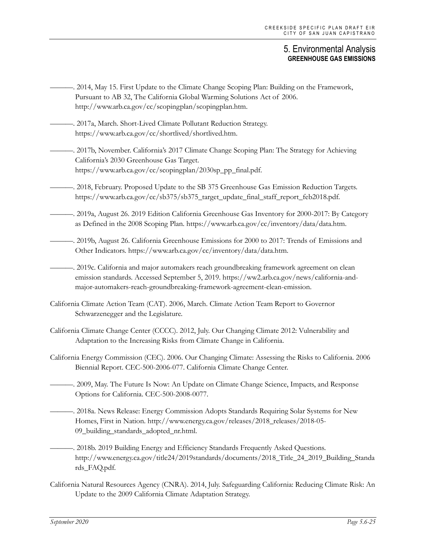- ———. 2014, May 15. First Update to the Climate Change Scoping Plan: Building on the Framework, Pursuant to AB 32, The California Global Warming Solutions Act of 2006. http://www.arb.ca.gov/cc/scopingplan/scopingplan.htm.
- -. 2017a, March. Short-Lived Climate Pollutant Reduction Strategy. https://www.arb.ca.gov/cc/shortlived/shortlived.htm.

———. 2017b, November. California's 2017 Climate Change Scoping Plan: The Strategy for Achieving California's 2030 Greenhouse Gas Target. https://www.arb.ca.gov/cc/scopingplan/2030sp\_pp\_final.pdf.

- -. 2018, February. Proposed Update to the SB 375 Greenhouse Gas Emission Reduction Targets. https://www.arb.ca.gov/cc/sb375/sb375\_target\_update\_final\_staff\_report\_feb2018.pdf.
- ———. 2019a, August 26. 2019 Edition California Greenhouse Gas Inventory for 2000-2017: By Category as Defined in the 2008 Scoping Plan. https://www.arb.ca.gov/cc/inventory/data/data.htm.
- ———. 2019b, August 26. California Greenhouse Emissions for 2000 to 2017: Trends of Emissions and Other Indicators. https://www.arb.ca.gov/cc/inventory/data/data.htm.

———. 2019c. California and major automakers reach groundbreaking framework agreement on clean emission standards. Accessed September 5, 2019. https://ww2.arb.ca.gov/news/california-andmajor-automakers-reach-groundbreaking-framework-agreement-clean-emission.

- California Climate Action Team (CAT). 2006, March. Climate Action Team Report to Governor Schwarzenegger and the Legislature.
- California Climate Change Center (CCCC). 2012, July. Our Changing Climate 2012: Vulnerability and Adaptation to the Increasing Risks from Climate Change in California.
- California Energy Commission (CEC). 2006. Our Changing Climate: Assessing the Risks to California. 2006 Biennial Report. CEC-500-2006-077. California Climate Change Center.

———. 2009, May. The Future Is Now: An Update on Climate Change Science, Impacts, and Response Options for California. CEC-500-2008-0077.

- ———. 2018a. News Release: Energy Commission Adopts Standards Requiring Solar Systems for New Homes, First in Nation. http://www.energy.ca.gov/releases/2018\_releases/2018-05- 09\_building\_standards\_adopted\_nr.html.
- ———. 2018b. 2019 Building Energy and Efficiency Standards Frequently Asked Questions. http://www.energy.ca.gov/title24/2019standards/documents/2018\_Title\_24\_2019\_Building\_Standa rds\_FAQ.pdf.
- California Natural Resources Agency (CNRA). 2014, July. Safeguarding California: Reducing Climate Risk: An Update to the 2009 California Climate Adaptation Strategy.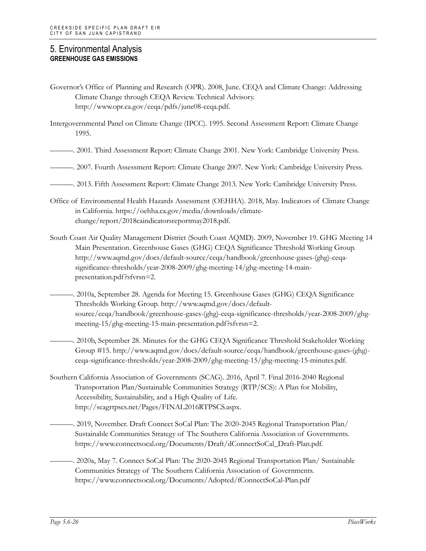- Governor's Office of Planning and Research (OPR). 2008, June. CEQA and Climate Change: Addressing Climate Change through CEQA Review. Technical Advisory. http://www.opr.ca.gov/ceqa/pdfs/june08-ceqa.pdf.
- Intergovernmental Panel on Climate Change (IPCC). 1995. Second Assessment Report: Climate Change 1995.
- ———. 2001. Third Assessment Report: Climate Change 2001. New York: Cambridge University Press.
- ———. 2007. Fourth Assessment Report: Climate Change 2007. New York: Cambridge University Press.
- ———. 2013. Fifth Assessment Report: Climate Change 2013. New York: Cambridge University Press.
- Office of Environmental Health Hazards Assessment (OEHHA). 2018, May. Indicators of Climate Change in California. https://oehha.ca.gov/media/downloads/climatechange/report/2018caindicatorsreportmay2018.pdf.
- South Coast Air Quality Management District (South Coast AQMD). 2009, November 19. GHG Meeting 14 Main Presentation. Greenhouse Gases (GHG) CEQA Significance Threshold Working Group. http://www.aqmd.gov/docs/default-source/ceqa/handbook/greenhouse-gases-(ghg)-ceqasignificance-thresholds/year-2008-2009/ghg-meeting-14/ghg-meeting-14-mainpresentation.pdf?sfvrsn=2.
- ———. 2010a, September 28. Agenda for Meeting 15. Greenhouse Gases (GHG) CEQA Significance Thresholds Working Group. http://www.aqmd.gov/docs/defaultsource/ceqa/handbook/greenhouse-gases-(ghg)-ceqa-significance-thresholds/year-2008-2009/ghgmeeting-15/ghg-meeting-15-main-presentation.pdf?sfvrsn=2.
	- ———. 2010b, September 28. Minutes for the GHG CEQA Significance Threshold Stakeholder Working Group #15. http://www.aqmd.gov/docs/default-source/ceqa/handbook/greenhouse-gases-(ghg) ceqa-significance-thresholds/year-2008-2009/ghg-meeting-15/ghg-meeting-15-minutes.pdf.
- Southern California Association of Governments (SCAG). 2016, April 7. Final 2016-2040 Regional Transportation Plan/Sustainable Communities Strategy (RTP/SCS): A Plan for Mobility, Accessibility, Sustainability, and a High Quality of Life. http://scagrtpscs.net/Pages/FINAL2016RTPSCS.aspx.
- ———. 2019, November. Draft Connect SoCal Plan: The 2020-2045 Regional Transportation Plan/ Sustainable Communities Strategy of The Southern California Association of Governments. https://www.connectsocal.org/Documents/Draft/dConnectSoCal\_Draft-Plan.pdf.
- ———. 2020a, May 7. Connect SoCal Plan: The 2020-2045 Regional Transportation Plan/ Sustainable Communities Strategy of The Southern California Association of Governments. https://www.connectsocal.org/Documents/Adopted/fConnectSoCal-Plan.pdf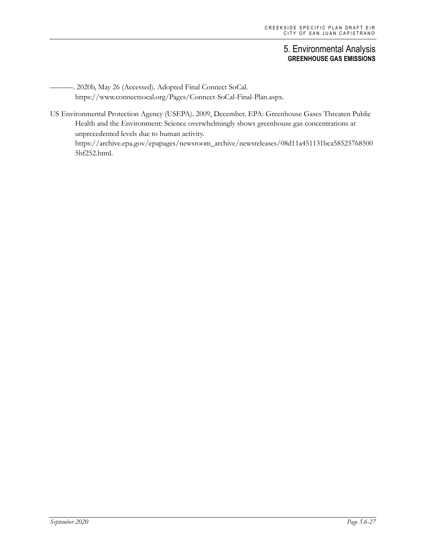-. 2020b, May 26 (Accessed). Adopted Final Connect SoCal. https://www.connectsocal.org/Pages/Connect-SoCal-Final-Plan.aspx.

US Environmental Protection Agency (USEPA). 2009, December. EPA: Greenhouse Gases Threaten Public Health and the Environment: Science overwhelmingly shows greenhouse gas concentrations at unprecedented levels due to human activity. https://archive.epa.gov/epapages/newsroom\_archive/newsreleases/08d11a451131bca58525768500 5bf252.html.